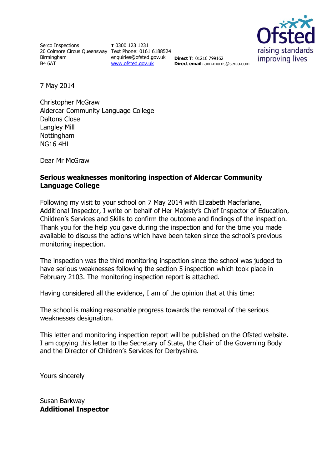Serco Inspections 20 Colmore Circus Queensway Text Phone: 0161 6188524 Birmingham B4 6AT

**T** 0300 123 1231 enquiries@ofsted.gov.uk **Direct T**: 01216 799162 [www.ofsted.gov.uk](http://www.ofsted.gov.uk/)



**Direct email**: ann.morris@serco.com

7 May 2014

Christopher McGraw Aldercar Community Language College Daltons Close Langley Mill Nottingham NG16 4HL

Dear Mr McGraw

#### **Serious weaknesses monitoring inspection of Aldercar Community Language College**

Following my visit to your school on 7 May 2014 with Elizabeth Macfarlane, Additional Inspector, I write on behalf of Her Majesty's Chief Inspector of Education, Children's Services and Skills to confirm the outcome and findings of the inspection. Thank you for the help you gave during the inspection and for the time you made available to discuss the actions which have been taken since the school's previous monitoring inspection.

The inspection was the third monitoring inspection since the school was judged to have serious weaknesses following the section 5 inspection which took place in February 2103. The monitoring inspection report is attached.

Having considered all the evidence, I am of the opinion that at this time:

The school is making reasonable progress towards the removal of the serious weaknesses designation.

This letter and monitoring inspection report will be published on the Ofsted website. I am copying this letter to the Secretary of State, the Chair of the Governing Body and the Director of Children's Services for Derbyshire.

Yours sincerely

Susan Barkway **Additional Inspector**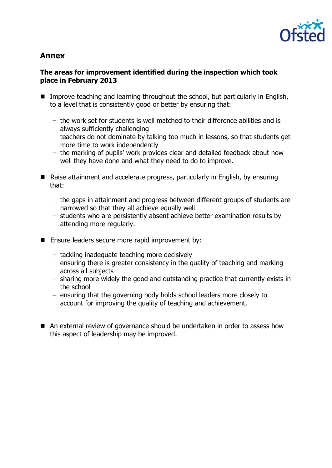

# **Annex**

#### **The areas for improvement identified during the inspection which took place in February 2013**

- Improve teaching and learning throughout the school, but particularly in English, to a level that is consistently good or better by ensuring that:
	- the work set for students is well matched to their difference abilities and is always sufficiently challenging
	- teachers do not dominate by talking too much in lessons, so that students get more time to work independently
	- the marking of pupils' work provides clear and detailed feedback about how well they have done and what they need to do to improve.
- Raise attainment and accelerate progress, particularly in English, by ensuring that:
	- the gaps in attainment and progress between different groups of students are narrowed so that they all achieve equally well
	- students who are persistently absent achieve better examination results by attending more regularly.
- **E** Ensure leaders secure more rapid improvement by:
	- tackling inadequate teaching more decisively
	- ensuring there is greater consistency in the quality of teaching and marking across all subjects
	- sharing more widely the good and outstanding practice that currently exists in the school
	- ensuring that the governing body holds school leaders more closely to account for improving the quality of teaching and achievement.
- An external review of governance should be undertaken in order to assess how this aspect of leadership may be improved.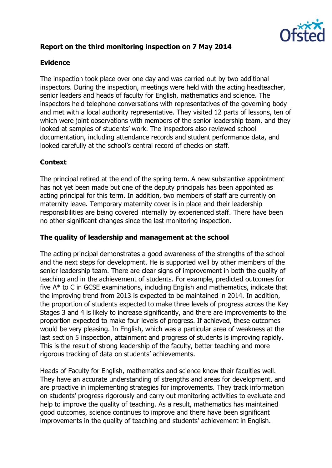

# **Report on the third monitoring inspection on 7 May 2014**

# **Evidence**

The inspection took place over one day and was carried out by two additional inspectors. During the inspection, meetings were held with the acting headteacher, senior leaders and heads of faculty for English, mathematics and science. The inspectors held telephone conversations with representatives of the governing body and met with a local authority representative. They visited 12 parts of lessons, ten of which were joint observations with members of the senior leadership team, and they looked at samples of students' work. The inspectors also reviewed school documentation, including attendance records and student performance data, and looked carefully at the school's central record of checks on staff.

## **Context**

The principal retired at the end of the spring term. A new substantive appointment has not yet been made but one of the deputy principals has been appointed as acting principal for this term. In addition, two members of staff are currently on maternity leave. Temporary maternity cover is in place and their leadership responsibilities are being covered internally by experienced staff. There have been no other significant changes since the last monitoring inspection.

## **The quality of leadership and management at the school**

The acting principal demonstrates a good awareness of the strengths of the school and the next steps for development. He is supported well by other members of the senior leadership team. There are clear signs of improvement in both the quality of teaching and in the achievement of students. For example, predicted outcomes for five A\* to C in GCSE examinations, including English and mathematics, indicate that the improving trend from 2013 is expected to be maintained in 2014. In addition, the proportion of students expected to make three levels of progress across the Key Stages 3 and 4 is likely to increase significantly, and there are improvements to the proportion expected to make four levels of progress. If achieved, these outcomes would be very pleasing. In English, which was a particular area of weakness at the last section 5 inspection, attainment and progress of students is improving rapidly. This is the result of strong leadership of the faculty, better teaching and more rigorous tracking of data on students' achievements.

Heads of Faculty for English, mathematics and science know their faculties well. They have an accurate understanding of strengths and areas for development, and are proactive in implementing strategies for improvements. They track information on students' progress rigorously and carry out monitoring activities to evaluate and help to improve the quality of teaching. As a result, mathematics has maintained good outcomes, science continues to improve and there have been significant improvements in the quality of teaching and students' achievement in English.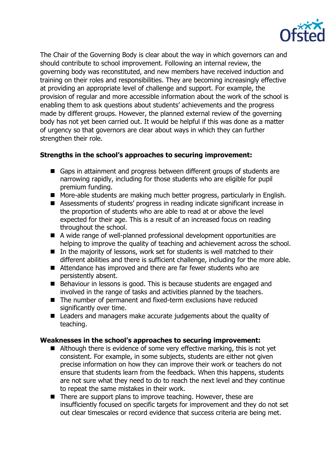

The Chair of the Governing Body is clear about the way in which governors can and should contribute to school improvement. Following an internal review, the governing body was reconstituted, and new members have received induction and training on their roles and responsibilities. They are becoming increasingly effective at providing an appropriate level of challenge and support. For example, the provision of regular and more accessible information about the work of the school is enabling them to ask questions about students' achievements and the progress made by different groups. However, the planned external review of the governing body has not yet been carried out. It would be helpful if this was done as a matter of urgency so that governors are clear about ways in which they can further strengthen their role.

## **Strengths in the school's approaches to securing improvement:**

- Gaps in attainment and progress between different groups of students are narrowing rapidly, including for those students who are eligible for pupil premium funding.
- More-able students are making much better progress, particularly in English.
- Assessments of students' progress in reading indicate significant increase in the proportion of students who are able to read at or above the level expected for their age. This is a result of an increased focus on reading throughout the school.
- A wide range of well-planned professional development opportunities are helping to improve the quality of teaching and achievement across the school.
- $\blacksquare$  In the majority of lessons, work set for students is well matched to their different abilities and there is sufficient challenge, including for the more able.
- Attendance has improved and there are far fewer students who are persistently absent.
- Behaviour in lessons is good. This is because students are engaged and involved in the range of tasks and activities planned by the teachers.
- The number of permanent and fixed-term exclusions have reduced significantly over time.
- Leaders and managers make accurate judgements about the quality of teaching.

#### **Weaknesses in the school's approaches to securing improvement:**

- Although there is evidence of some very effective marking, this is not yet consistent. For example, in some subjects, students are either not given precise information on how they can improve their work or teachers do not ensure that students learn from the feedback. When this happens, students are not sure what they need to do to reach the next level and they continue to repeat the same mistakes in their work.
- $\blacksquare$  There are support plans to improve teaching. However, these are insufficiently focused on specific targets for improvement and they do not set out clear timescales or record evidence that success criteria are being met.